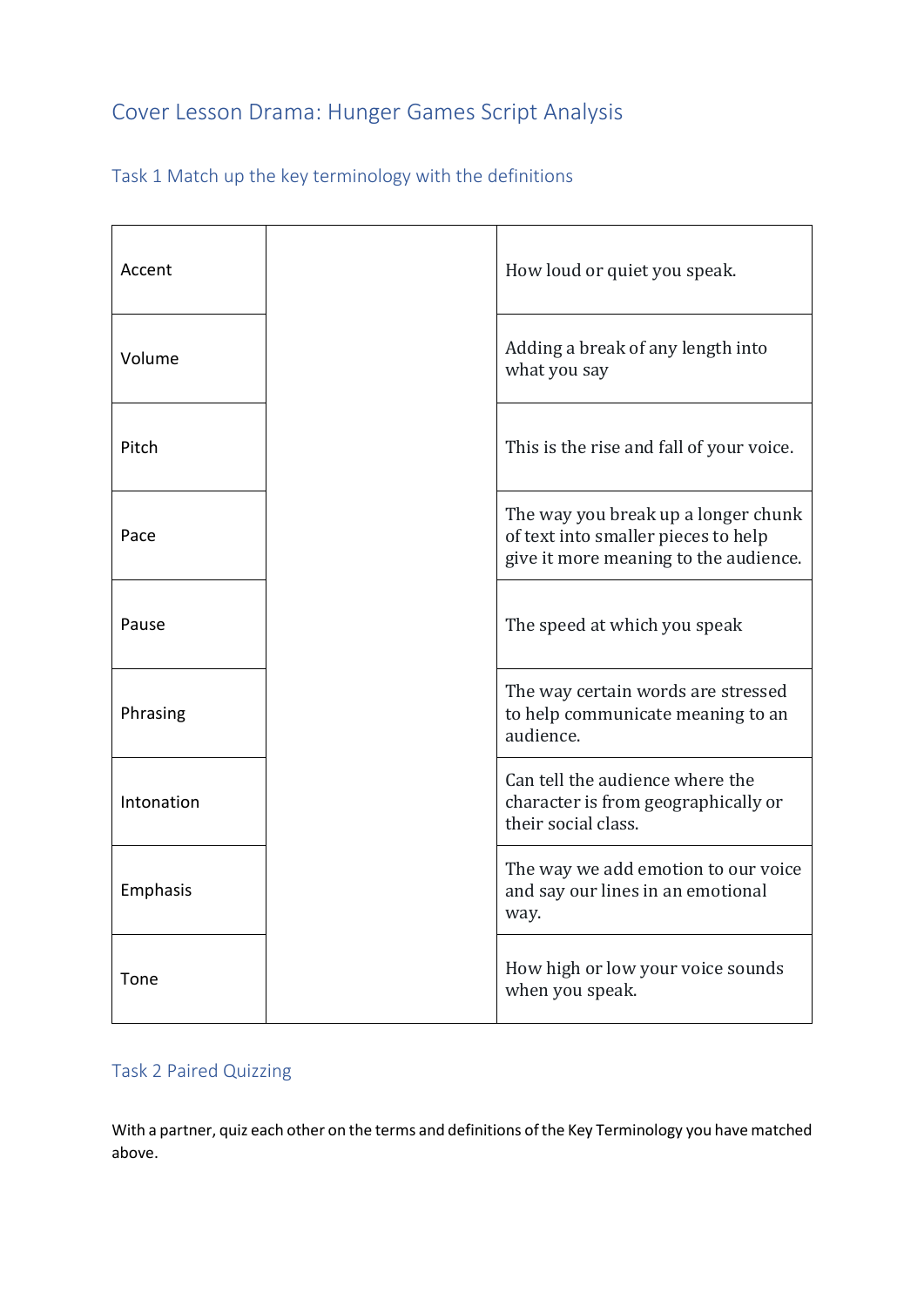## Cover Lesson Drama: Hunger Games Script Analysis

| Accent     | How loud or quiet you speak.                                                                                        |
|------------|---------------------------------------------------------------------------------------------------------------------|
| Volume     | Adding a break of any length into<br>what you say                                                                   |
| Pitch      | This is the rise and fall of your voice.                                                                            |
| Pace       | The way you break up a longer chunk<br>of text into smaller pieces to help<br>give it more meaning to the audience. |
| Pause      | The speed at which you speak                                                                                        |
| Phrasing   | The way certain words are stressed<br>to help communicate meaning to an<br>audience.                                |
| Intonation | Can tell the audience where the<br>character is from geographically or<br>their social class.                       |
| Emphasis   | The way we add emotion to our voice<br>and say our lines in an emotional<br>way.                                    |
| Tone       | How high or low your voice sounds<br>when you speak.                                                                |

## Task 2 Paired Quizzing

With a partner, quiz each other on the terms and definitions of the Key Terminology you have matched above.